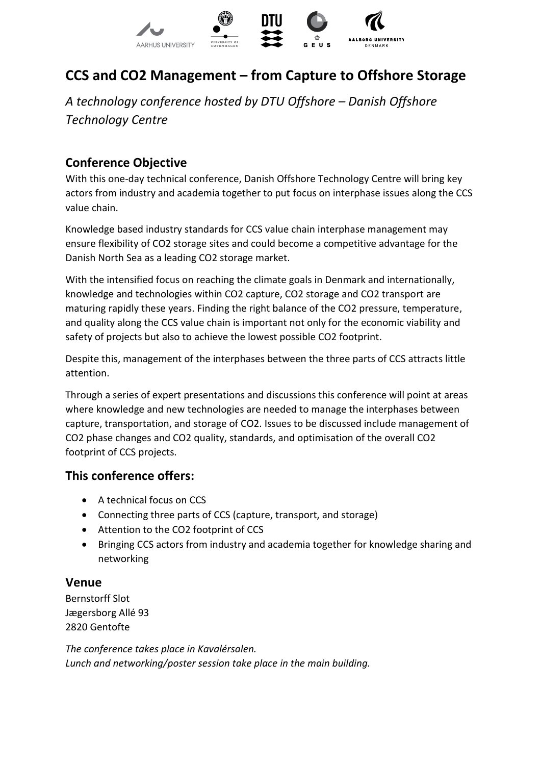

# **CCS and CO2 Management – from Capture to Offshore Storage**

*A technology conference hosted by DTU Offshore – Danish Offshore Technology Centre*

### **Conference Objective**

With this one-day technical conference, Danish Offshore Technology Centre will bring key actors from industry and academia together to put focus on interphase issues along the CCS value chain.

Knowledge based industry standards for CCS value chain interphase management may ensure flexibility of CO2 storage sites and could become a competitive advantage for the Danish North Sea as a leading CO2 storage market.

With the intensified focus on reaching the climate goals in Denmark and internationally, knowledge and technologies within CO2 capture, CO2 storage and CO2 transport are maturing rapidly these years. Finding the right balance of the CO2 pressure, temperature, and quality along the CCS value chain is important not only for the economic viability and safety of projects but also to achieve the lowest possible CO2 footprint.

Despite this, management of the interphases between the three parts of CCS attracts little attention.

Through a series of expert presentations and discussions this conference will point at areas where knowledge and new technologies are needed to manage the interphases between capture, transportation, and storage of CO2. Issues to be discussed include management of CO2 phase changes and CO2 quality, standards, and optimisation of the overall CO2 footprint of CCS projects.

### **This conference offers:**

- A technical focus on CCS
- Connecting three parts of CCS (capture, transport, and storage)
- Attention to the CO2 footprint of CCS
- Bringing CCS actors from industry and academia together for knowledge sharing and networking

### **Venue**

Bernstorff Slot Jægersborg Allé 93 2820 Gentofte

*The conference takes place in Kavalérsalen. Lunch and networking/poster session take place in the main building.*